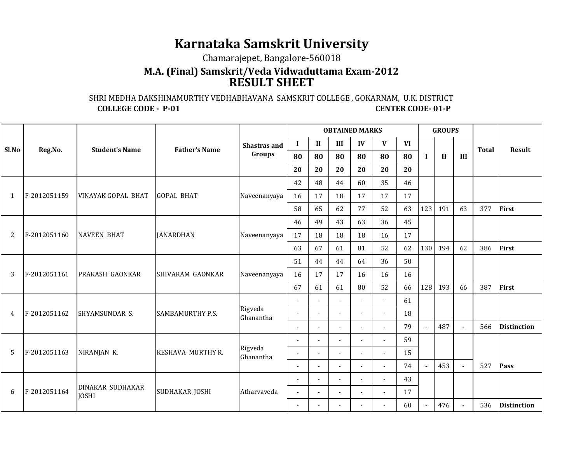## **Karnataka Samskrit University**

Chamarajepet, Bangalore-560018

## **M.A. (Final) Samskrit/Veda Vidwaduttama Exam-2012 RESULT SHEET**

 SHRI MEDHA DAKSHINAMURTHY VEDHABHAVANA SAMSKRIT COLLEGE , GOKARNAM, U.K. DISTRICT**CENTER CODE-01-P COLLEGE CODE - P-01** 

| Sl.No | Reg.No.      | <b>Student's Name</b>                   | <b>Father's Name</b>     | <b>Shastras and</b><br>Groups | <b>OBTAINED MARKS</b>    |                          |                          |                |                          |           | <b>GROUPS</b> |              |     |              |                    |
|-------|--------------|-----------------------------------------|--------------------------|-------------------------------|--------------------------|--------------------------|--------------------------|----------------|--------------------------|-----------|---------------|--------------|-----|--------------|--------------------|
|       |              |                                         |                          |                               | $\bf{I}$                 | $\mathbf{I}$             | III                      | IV             | V                        | <b>VI</b> | $\bf{I}$      | $\mathbf{I}$ | III | <b>Total</b> | Result             |
|       |              |                                         |                          |                               | 80                       | 80                       | 80                       | 80             | 80                       | 80        |               |              |     |              |                    |
|       |              |                                         |                          |                               | 20                       | 20                       | 20                       | 20             | 20                       | 20        |               |              |     |              |                    |
| 1     | F-2012051159 | <b>VINAYAK GOPAL BHAT</b>               | <b>GOPAL BHAT</b>        | Naveenanyaya                  | 42                       | 48                       | 44                       | 60             | 35                       | 46        |               |              |     |              |                    |
|       |              |                                         |                          |                               | 16                       | 17                       | 18                       | 17             | 17                       | 17        |               |              |     |              |                    |
|       |              |                                         |                          |                               | 58                       | 65                       | 62                       | 77             | 52                       | 63        | 123           | 191          | 63  | 377          | First              |
| 2     | F-2012051160 | <b>NAVEEN BHAT</b>                      | <b>JANARDHAN</b>         | Naveenanyaya                  | 46                       | 49                       | 43                       | 63             | 36                       | 45        |               |              |     |              |                    |
|       |              |                                         |                          |                               | 17                       | 18                       | 18                       | 18             | 16                       | 17        |               |              |     |              |                    |
|       |              |                                         |                          |                               | 63                       | 67                       | 61                       | 81             | 52                       | 62        | 130           | 194          | 62  | 386          | First              |
| 3     | F-2012051161 | <b>PRAKASH GAONKAR</b>                  | SHIVARAM GAONKAR         | Naveenanyaya                  | 51                       | 44                       | 44                       | 64             | 36                       | 50        |               |              |     |              |                    |
|       |              |                                         |                          |                               | 16                       | 17                       | 17                       | 16             | 16                       | 16        |               |              |     |              |                    |
|       |              |                                         |                          |                               | 67                       | 61                       | 61                       | 80             | 52                       | 66        | 128           | 193          | 66  | 387          | First              |
| 4     | F-2012051162 | SHYAMSUNDAR S.                          | <b>SAMBAMURTHY P.S.</b>  | Rigveda<br>Ghanantha          |                          |                          |                          |                |                          | 61        |               |              |     |              |                    |
|       |              |                                         |                          |                               | $\overline{\phantom{a}}$ | $\overline{a}$           | $\sim$                   |                | $\blacksquare$           | 18        |               |              |     |              |                    |
|       |              |                                         |                          |                               | $\overline{\phantom{a}}$ |                          |                          |                | $\overline{\phantom{a}}$ | 79        |               | 487          |     | 566          | <b>Distinction</b> |
| 5     | F-2012051163 | NIRANJAN K.                             | <b>KESHAVA MURTHY R.</b> | Rigveda<br>Ghanantha          |                          |                          |                          |                |                          | 59        |               |              |     |              |                    |
|       |              |                                         |                          |                               | $\overline{\phantom{a}}$ | $\blacksquare$           |                          |                | $\blacksquare$           | 15        |               |              |     |              |                    |
|       |              |                                         |                          |                               | $\blacksquare$           |                          |                          |                | $\overline{a}$           | 74        |               | 453          |     | 527          | <b>Pass</b>        |
| 6     | F-2012051164 | <b>DINAKAR SUDHAKAR</b><br><b>JOSHI</b> | SUDHAKAR JOSHI           | Atharvaveda                   | $\sim$                   | $\overline{\phantom{a}}$ |                          |                | $\overline{\phantom{a}}$ | 43        |               |              |     |              |                    |
|       |              |                                         |                          |                               | $\sim$                   | $\overline{a}$           | $\overline{\phantom{a}}$ | $\overline{a}$ | $\overline{\phantom{a}}$ | 17        |               |              |     |              |                    |
|       |              |                                         |                          |                               |                          |                          |                          |                |                          | 60        |               | 476          |     | 536          | <b>Distinction</b> |